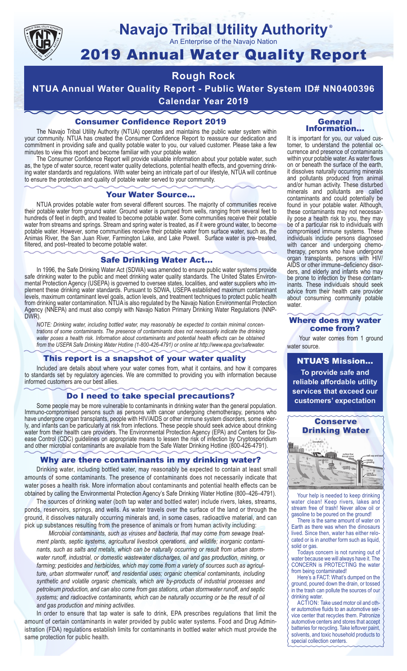

## **Navajo Tribal Utility Authority** ®

An Enterprise of the Navajo Nation

# 2019 Annual Water Quality Report

## **Rough Rock**

**NTUA Annual Water Quality Report - Public Water System ID# NN0400396 Calendar Year 2019**

## Consumer Confidence Report 2019

The Navajo Tribal Utility Authority (NTUA) operates and maintains the public water system within your community. NTUA has created the Consumer Confidence Report to reassure our dedication and commitment in providing safe and quality potable water to you, our valued customer. Please take a few minutes to view this report and become familiar with your potable water.

The Consumer Confidence Report will provide valuable information about your potable water, such as, the type of water source, recent water quality detections, potential health effects, and governing drinking water standards and regulations. With water being an intricate part of our lifestyle, NTUA will continue to ensure the protection and quality of potable water served to your community.

#### Your Water Source…

NTUA provides potable water from several different sources. The majority of communities receive their potable water from ground water. Ground water is pumped from wells, ranging from several feet to hundreds of feet in depth, and treated to become potable water. Some communities receive their potable water from streams and springs. Stream and spring water is treated, as if it were ground water, to become potable water. However, some communities receive their potable water from surface water, such as, the Animas River, the San Juan River, Farmington Lake, and Lake Powell. Surface water is pre–treated, filtered, and post–treated to become potable water.

#### Safe Drinking Water Act…

In 1996, the Safe Drinking Water Act (SDWA) was amended to ensure public water systems provide safe drinking water to the public and meet drinking water quality standards. The United States Environmental Protection Agency (USEPA) is governed to oversee states, localities, and water suppliers who implement these drinking water standards. Pursuant to SDWA, USEPA established maximum contaminant levels, maximum contaminant level goals, action levels, and treatment techniques to protect public health from drinking water contamination. NTUA is also regulated by the Navajo Nation Environmental Protection Agency (NNEPA) and must also comply with Navajo Nation Primary Drinking Water Regulations (NNP-DWR)

*NOTE: Drinking water, including bottled water, may reasonably be expected to contain minimal concentrations of some contaminants. The presence of contaminants does not necessarily indicate the drinking water poses a health risk. Information about contaminants and potential health effects can be obtained from the USEPA Safe Drinking Water Hotline (1-800-426-4791) or online at http://www.epa.gov/safewater.*

## This report is a snapshot of your water quality

Included are details about where your water comes from, what it contains, and how it compares to standards set by regulatory agencies. We are committed to providing you with information because informed customers are our best allies.

#### Do I need to take special precautions?

Some people may be more vulnerable to contaminants in drinking water than the general population. Immuno-compromised persons such as persons with cancer undergoing chemotherapy, persons who have undergone organ transplants, people with HIV/AIDS or other immune system disorders, some elderly, and infants can be particularly at risk from infections. These people should seek advice about drinking water from their health care providers. The Environmental Protection Agency (EPA) and Centers for Disease Control (CDC) guidelines on appropriate means to lessen the risk of infection by Cryptosporidium and other microbial contaminants are available from the Safe Water Drinking Hotline (800-426-4791).

## Why are there contaminants in my drinking water?

Drinking water, including bottled water, may reasonably be expected to contain at least small amounts of some contaminants. The presence of contaminants does not necessarily indicate that water poses a health risk. More information about contaminants and potential health effects can be obtained by calling the Environmental Protection Agency's Safe Drinking Water Hotline (800–426–4791).

The sources of drinking water (both tap water and bottled water) include rivers, lakes, streams, ponds, reservoirs, springs, and wells. As water travels over the surface of the land or through the ground, it dissolves naturally occurring minerals and, in some cases, radioactive material, and can pick up substances resulting from the presence of animals or from human activity including:

*Microbial contaminants, such as viruses and bacteria, that may come from sewage treatment plants, septic systems, agricultural livestock operations, and wildlife; inorganic contaminants, such as salts and metals, which can be naturally occurring or result from urban stormwater runoff, industrial, or domestic wastewater discharges, oil and gas production, mining, or farming; pesticides and herbicides, which may come from a variety of sources such as agriculture, urban stormwater runoff, and residential uses; organic chemical contaminants, including synthetic and volatile organic chemicals, which are by-products of industrial processes and petroleum production, and can also come from gas stations, urban stormwater runoff, and septic systems; and radioactive contaminants, which can be naturally occurring or be the result of oil and gas production and mining activities.*

In order to ensure that tap water is safe to drink, EPA prescribes regulations that limit the amount of certain contaminants in water provided by public water systems. Food and Drug Administration (FDA) regulations establish limits for contaminants in bottled water which must provide the same protection for public health.

#### General Information…

It is important for you, our valued customer, to understand the potential occurrence and presence of contaminants within your potable water. As water flows on or beneath the surface of the earth, it dissolves naturally occurring minerals and pollutants produced from animal and/or human activity. These disturbed minerals and pollutants are called contaminants and could potentially be found in your potable water. Although, these contaminants may not necessarily pose a health risk to you, they may be of a particular risk to individuals with compromised immune systems. These individuals include persons diagnosed with cancer and undergoing chemo-<br>therapy, persons who have undergone organ transplants, persons with HIV/ AIDS or other immune–deficiency disor- ders, and elderly and infants who may be prone to infection by these contam- inants. These individuals should seek advice from their health care provider about consuming community potable water.

#### Where does my water come from?

Your water comes from 1 ground water source.

NTUA'S Mission... **To provide safe and reliable affordable utility services that exceed our customers' expectation**



Your help is needed to keep drinking water clean! Keep rivers, lakes and stream free of trash! Never allow oil or gasoline to be poured on the ground!

There is the same amount of water on Earth as there was when the dinosaurs lived. Since then, water has either relocated or is in another form such as liquid, solid or gas.

Todays concern is not running out of water because we will always have it. The CONCERN is PROTECTING the water from being contaminated!

Here's a FACT: What's dumped on the ground, poured down the drain, or tossed in the trash can pollute the sources of our drinking water.

ACTION: Take used motor oil and other automotive fluids to an automotive service center that recycles them. Patronize automotive centers and stores that accept batteries for recycling. Take leftover paint, solvents, and toxic household products to special collection centers.